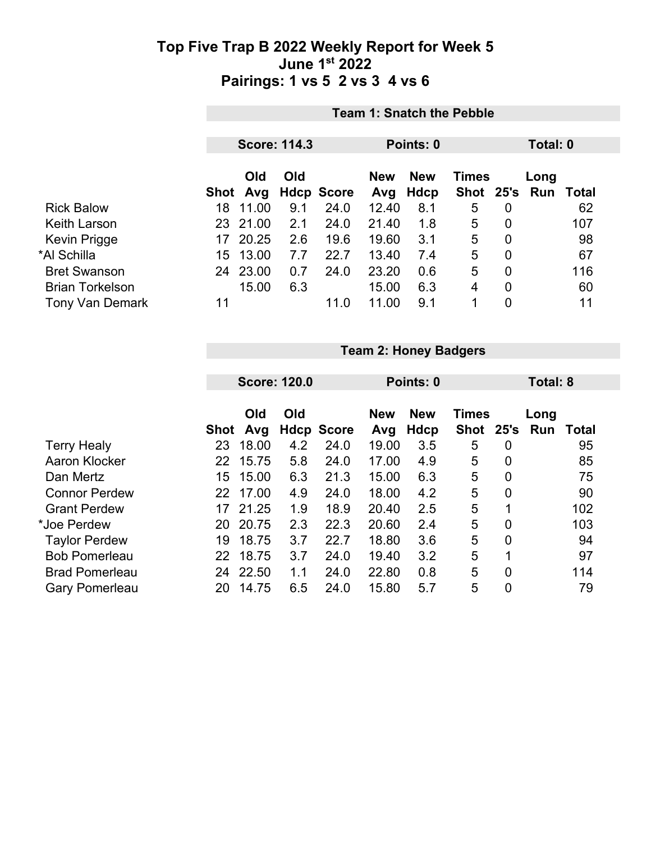|                        | <b>Team 1: Snatch the Pebble</b> |                     |     |                   |                   |                           |              |                |                       |       |
|------------------------|----------------------------------|---------------------|-----|-------------------|-------------------|---------------------------|--------------|----------------|-----------------------|-------|
|                        |                                  | <b>Score: 114.3</b> |     |                   |                   | Points: 0                 |              |                | Total: 0              |       |
|                        |                                  | Old<br>Shot Avg     | Old | <b>Hdcp Score</b> | <b>New</b><br>Avg | <b>New</b><br><b>Hdcp</b> | <b>Times</b> |                | Long<br>Shot 25's Run | Total |
| <b>Rick Balow</b>      | 18                               | 11.00               | 9.1 | 24.0              | 12.40             | 8.1                       | 5            | 0              |                       | 62    |
| <b>Keith Larson</b>    |                                  | 23 21.00            | 2.1 | 24.0              | 21.40             | 1.8                       | 5            | 0              |                       | 107   |
| Kevin Prigge           | 17                               | 20.25               | 2.6 | 19.6              | 19.60             | 3.1                       | 5            | $\overline{0}$ |                       | 98    |
| *Al Schilla            | 15                               | 13.00               | 7.7 | 22.7              | 13.40             | 7.4                       | 5            | 0              |                       | 67    |
| <b>Bret Swanson</b>    |                                  | 24 23.00            | 0.7 | 24.0              | 23.20             | 0.6                       | 5            | 0              |                       | 116   |
| <b>Brian Torkelson</b> |                                  | 15.00               | 6.3 |                   | 15.00             | 6.3                       | 4            | 0              |                       | 60    |
| <b>Tony Van Demark</b> | 11                               |                     |     | 11.0              | 11.00             | 9.1                       | 1            | 0              |                       | 11    |

|                       | <b>Team 2: Honey Badgers</b> |                     |     |                   |            |            |              |                |                 |       |  |
|-----------------------|------------------------------|---------------------|-----|-------------------|------------|------------|--------------|----------------|-----------------|-------|--|
|                       |                              |                     |     |                   |            |            |              |                |                 |       |  |
|                       |                              | <b>Score: 120.0</b> |     |                   |            | Points: 0  |              |                | <b>Total: 8</b> |       |  |
|                       |                              |                     |     |                   |            |            |              |                |                 |       |  |
|                       |                              | Old                 | Old |                   | <b>New</b> | <b>New</b> | <b>Times</b> |                | Long            |       |  |
|                       | Shot                         | Avg                 |     | <b>Hdcp Score</b> | Avg        | Hdcp       | <b>Shot</b>  | 25's           | Run             | Total |  |
| <b>Terry Healy</b>    | 23                           | 18.00               | 4.2 | 24.0              | 19.00      | 3.5        | 5            | $\overline{0}$ |                 | 95    |  |
| Aaron Klocker         | 22                           | 15.75               | 5.8 | 24.0              | 17.00      | 4.9        | 5            | $\overline{0}$ |                 | 85    |  |
| Dan Mertz             | 15                           | 15.00               | 6.3 | 21.3              | 15.00      | 6.3        | 5            | 0              |                 | 75    |  |
| <b>Connor Perdew</b>  | 22                           | 17.00               | 4.9 | 24.0              | 18.00      | 4.2        | 5            | $\overline{0}$ |                 | 90    |  |
| <b>Grant Perdew</b>   | 17                           | 21.25               | 1.9 | 18.9              | 20.40      | 2.5        | 5            | 1              |                 | 102   |  |
| *Joe Perdew           | 20                           | 20.75               | 2.3 | 22.3              | 20.60      | 2.4        | 5            | 0              |                 | 103   |  |
| <b>Taylor Perdew</b>  | 19                           | 18.75               | 3.7 | 22.7              | 18.80      | 3.6        | 5            | $\overline{0}$ |                 | 94    |  |
| <b>Bob Pomerleau</b>  | 22                           | 18.75               | 3.7 | 24.0              | 19.40      | 3.2        | 5            | 1              |                 | 97    |  |
| <b>Brad Pomerleau</b> | 24                           | 22.50               | 1.1 | 24.0              | 22.80      | 0.8        | 5            | 0              |                 | 114   |  |
| <b>Gary Pomerleau</b> | 20                           | 14.75               | 6.5 | 24.0              | 15.80      | 5.7        | 5            | 0              |                 | 79    |  |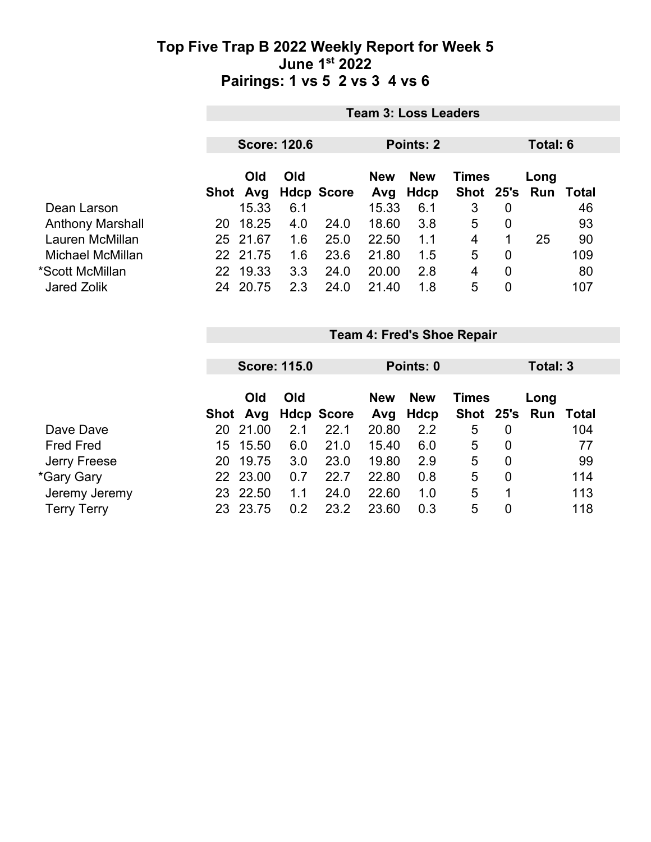|                         |    | <b>Team 3: Loss Leaders</b> |                     |                   |                   |                    |              |                |                             |     |  |
|-------------------------|----|-----------------------------|---------------------|-------------------|-------------------|--------------------|--------------|----------------|-----------------------------|-----|--|
|                         |    |                             | <b>Score: 120.6</b> |                   |                   | Points: 2          |              |                | Total: 6                    |     |  |
|                         |    | <b>Old</b><br>Shot Avg      | Old                 | <b>Hdcp Score</b> | <b>New</b><br>Avg | <b>New</b><br>Hdcp | <b>Times</b> |                | Long<br>Shot 25's Run Total |     |  |
| Dean Larson             |    | 15.33                       | 6.1                 |                   | 15.33             | 6.1                | 3            | $\overline{0}$ |                             | 46  |  |
| <b>Anthony Marshall</b> | 20 | 18.25                       | 4.0                 | 24.0              | 18.60             | 3.8                | 5            | $\overline{0}$ |                             | 93  |  |
| Lauren McMillan         |    | 25 21.67                    | 1.6                 | 25.0              | 22.50             | 1.1                | 4            | 1              | 25                          | 90  |  |
| Michael McMillan        |    | 22 21.75                    | 1.6                 | 23.6              | 21.80             | 1.5                | 5            | $\overline{0}$ |                             | 109 |  |
| *Scott McMillan         | 22 | 19.33                       | 3.3                 | 24.0              | 20.00             | 2.8                | 4            | $\overline{0}$ |                             | 80  |  |
| <b>Jared Zolik</b>      | 24 | 20.75                       | 2.3                 | 24.0              | 21.40             | 1.8                | 5            | 0              |                             | 107 |  |

|                    |     |            | <b>Score: 115.0</b> |                     |                   | Points: 0  |               |                | Total: 3 |       |
|--------------------|-----|------------|---------------------|---------------------|-------------------|------------|---------------|----------------|----------|-------|
|                    |     | Old<br>Old |                     |                     |                   | <b>New</b> | <b>Times</b>  |                | Long     |       |
|                    |     |            |                     | Shot Avg Hdcp Score | <b>New</b><br>Avg | Hdcp       | Shot 25's Run |                |          | Total |
| Dave Dave          | 20  | 21.00      | 2.1                 | 22.1                | 20.80             | 2.2        | 5             | 0              |          | 104   |
| <b>Fred Fred</b>   | 15. | 15.50      | 6.0                 | 21.0                | 15.40             | 6.0        | 5             | 0              |          | 77    |
| Jerry Freese       | 20  | 19.75      | 3.0                 | 23.0                | 19.80             | 2.9        | 5             | $\overline{0}$ |          | 99    |
| *Gary Gary         |     | 22 23.00   | 0.7                 | 22.7                | 22.80             | 0.8        | 5             | $\overline{0}$ |          | 114   |
| Jeremy Jeremy      | 23  | 22.50      | 1.1                 | 24.0                | 22.60             | 1.0        | 5             |                |          | 113   |
| <b>Terry Terry</b> | 23  | 23.75      | 0.2                 | 23.2                | 23.60             | 0.3        | 5             | 0              |          | 118   |

**Team 4: Fred's Shoe Repair**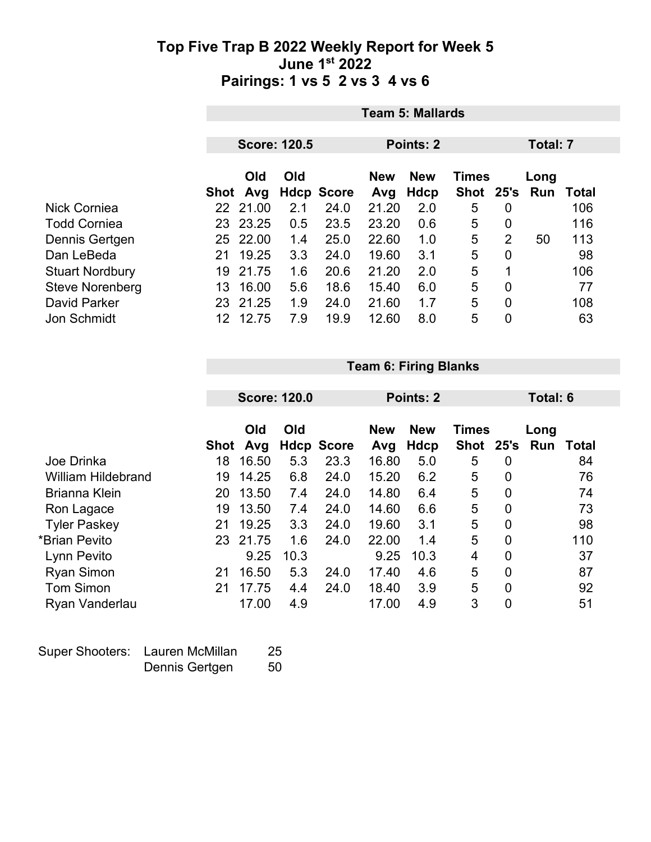|                        | <b>Team 5: Mallards</b> |          |                     |                   |                            |                  |      |                |                          |     |  |
|------------------------|-------------------------|----------|---------------------|-------------------|----------------------------|------------------|------|----------------|--------------------------|-----|--|
|                        |                         |          | <b>Score: 120.5</b> |                   |                            | <b>Points: 2</b> |      | Total: 7       |                          |     |  |
|                        | Old<br>Old              |          |                     | <b>New</b>        | <b>New</b><br><b>Times</b> |                  |      |                |                          |     |  |
|                        | Shot                    | Avg      |                     | <b>Hdcp Score</b> | Avg                        | Hdcp             | Shot | 25's           | Long<br><b>Run Total</b> |     |  |
| Nick Corniea           |                         | 22 21.00 | 2.1                 | 24.0              | 21.20                      | 2.0              | 5    | 0              |                          | 106 |  |
| <b>Todd Corniea</b>    | 23.                     | 23.25    | 0.5                 | 23.5              | 23.20                      | 0.6              | 5    | 0              |                          | 116 |  |
| Dennis Gertgen         | 25.                     | 22.00    | 1.4                 | 25.0              | 22.60                      | 1.0              | 5    | $\overline{2}$ | 50                       | 113 |  |
| Dan LeBeda             | 21                      | 19.25    | 3.3                 | 24.0              | 19.60                      | 3.1              | 5    | 0              |                          | 98  |  |
| <b>Stuart Nordbury</b> | 19                      | 21.75    | 1.6                 | 20.6              | 21.20                      | 2.0              | 5    | 1              |                          | 106 |  |
| <b>Steve Norenberg</b> | 13                      | 16.00    | 5.6                 | 18.6              | 15.40                      | 6.0              | 5    | 0              |                          | 77  |  |
| <b>David Parker</b>    | 23                      | 21.25    | 1.9                 | 24.0              | 21.60                      | 1.7              | 5    | 0              |                          | 108 |  |
| Jon Schmidt            | 12.                     | 12.75    | 7.9                 | 19.9              | 12.60                      | 8.0              | 5    | 0              |                          | 63  |  |

**Team 6: Firing Blanks**

|                           |      | <b>Score: 120.0</b> |      |                   |                   | <b>Points: 2</b>   |                             |             | Total: 6           |       |
|---------------------------|------|---------------------|------|-------------------|-------------------|--------------------|-----------------------------|-------------|--------------------|-------|
|                           | Shot | Old<br>Avg          | Old  | <b>Hdcp Score</b> | <b>New</b><br>Avg | <b>New</b><br>Hdcp | <b>Times</b><br><b>Shot</b> | 25's        | Long<br><b>Run</b> | Total |
| Joe Drinka                | 18   | 16.50               | 5.3  | 23.3              | 16.80             | 5.0                | 5                           | $\mathbf 0$ |                    | 84    |
| <b>William Hildebrand</b> | 19   | 14.25               | 6.8  | 24.0              | 15.20             | 6.2                | 5                           | 0           |                    | 76    |
| <b>Brianna Klein</b>      | 20   | 13.50               | 7.4  | 24.0              | 14.80             | 6.4                | 5                           | 0           |                    | 74    |
| Ron Lagace                | 19   | 13.50               | 7.4  | 24.0              | 14.60             | 6.6                | 5                           | 0           |                    | 73    |
| <b>Tyler Paskey</b>       | 21   | 19.25               | 3.3  | 24.0              | 19.60             | 3.1                | 5                           | 0           |                    | 98    |
| *Brian Pevito             | 23   | 21.75               | 1.6  | 24.0              | 22.00             | 1.4                | 5                           | 0           |                    | 110   |
| Lynn Pevito               |      | 9.25                | 10.3 |                   | 9.25              | 10.3               | 4                           | 0           |                    | 37    |
| <b>Ryan Simon</b>         | 21   | 16.50               | 5.3  | 24.0              | 17.40             | 4.6                | 5                           | 0           |                    | 87    |
| <b>Tom Simon</b>          | 21   | 17.75               | 4.4  | 24.0              | 18.40             | 3.9                | 5                           | 0           |                    | 92    |
| Ryan Vanderlau            |      | 17.00               | 4.9  |                   | 17.00             | 4.9                | 3                           | 0           |                    | 51    |

| Super Shooters: Lauren McMillan | 25 |
|---------------------------------|----|
| Dennis Gertgen                  | 50 |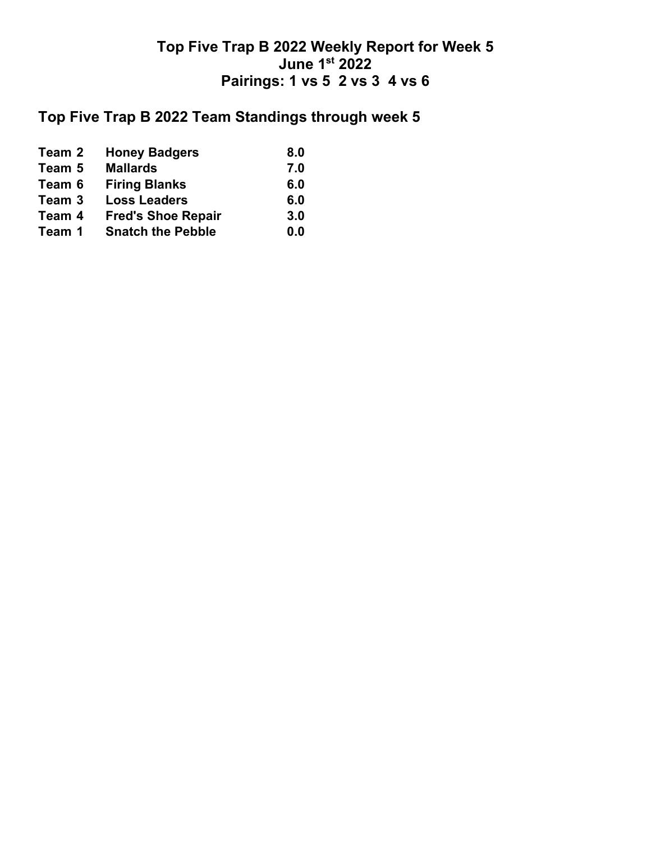## **Top Five Trap B 2022 Team Standings through week 5**

| Team 2 | <b>Honey Badgers</b>      | 8.0 |
|--------|---------------------------|-----|
| Team 5 | <b>Mallards</b>           | 7.0 |
| Team 6 | <b>Firing Blanks</b>      | 6.0 |
| Team 3 | <b>Loss Leaders</b>       | 6.0 |
| Team 4 | <b>Fred's Shoe Repair</b> | 3.0 |
| Team 1 | <b>Snatch the Pebble</b>  | 0.0 |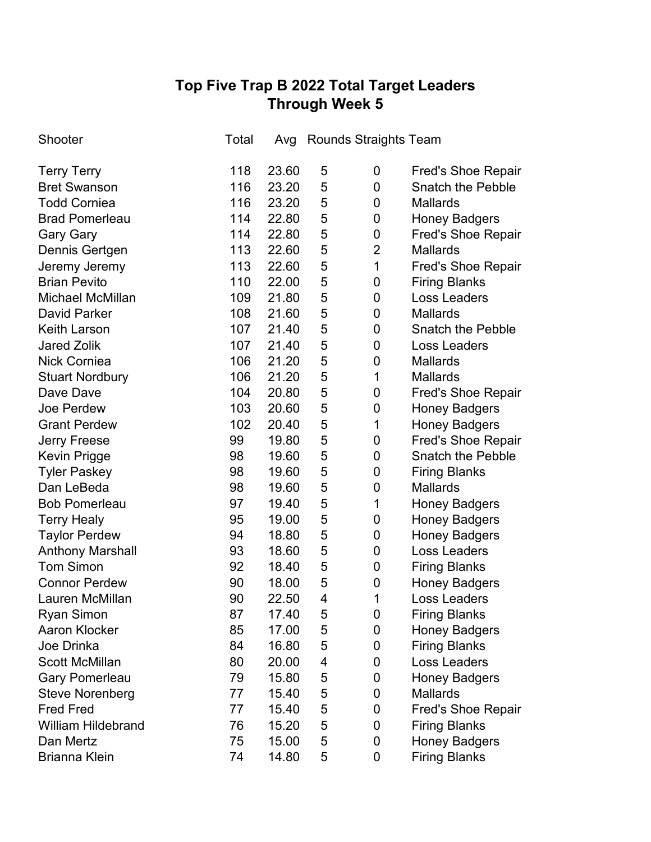# **Top Five Trap B 2022 Total Target Leaders Through Week 5**

| Shooter                   | Total | Avg   |   | <b>Rounds Straights Team</b> |                           |
|---------------------------|-------|-------|---|------------------------------|---------------------------|
| <b>Terry Terry</b>        | 118   | 23.60 | 5 | 0                            | <b>Fred's Shoe Repair</b> |
| <b>Bret Swanson</b>       | 116   | 23.20 | 5 | 0                            | <b>Snatch the Pebble</b>  |
| <b>Todd Corniea</b>       | 116   | 23.20 | 5 | 0                            | <b>Mallards</b>           |
| <b>Brad Pomerleau</b>     | 114   | 22.80 | 5 | 0                            | <b>Honey Badgers</b>      |
| <b>Gary Gary</b>          | 114   | 22.80 | 5 | 0                            | <b>Fred's Shoe Repair</b> |
| Dennis Gertgen            | 113   | 22.60 | 5 | $\overline{2}$               | <b>Mallards</b>           |
| Jeremy Jeremy             | 113   | 22.60 | 5 | 1                            | <b>Fred's Shoe Repair</b> |
| <b>Brian Pevito</b>       | 110   | 22.00 | 5 | 0                            | <b>Firing Blanks</b>      |
| Michael McMillan          | 109   | 21.80 | 5 | 0                            | <b>Loss Leaders</b>       |
| <b>David Parker</b>       | 108   | 21.60 | 5 | 0                            | <b>Mallards</b>           |
| <b>Keith Larson</b>       | 107   | 21.40 | 5 | 0                            | <b>Snatch the Pebble</b>  |
| <b>Jared Zolik</b>        | 107   | 21.40 | 5 | 0                            | Loss Leaders              |
| <b>Nick Corniea</b>       | 106   | 21.20 | 5 | 0                            | <b>Mallards</b>           |
| <b>Stuart Nordbury</b>    | 106   | 21.20 | 5 | $\mathbf 1$                  | <b>Mallards</b>           |
| Dave Dave                 | 104   | 20.80 | 5 | 0                            | <b>Fred's Shoe Repair</b> |
| Joe Perdew                | 103   | 20.60 | 5 | 0                            | <b>Honey Badgers</b>      |
| <b>Grant Perdew</b>       | 102   | 20.40 | 5 | 1                            | <b>Honey Badgers</b>      |
| <b>Jerry Freese</b>       | 99    | 19.80 | 5 | 0                            | <b>Fred's Shoe Repair</b> |
| Kevin Prigge              | 98    | 19.60 | 5 | 0                            | <b>Snatch the Pebble</b>  |
| <b>Tyler Paskey</b>       | 98    | 19.60 | 5 | 0                            | <b>Firing Blanks</b>      |
| Dan LeBeda                | 98    | 19.60 | 5 | 0                            | <b>Mallards</b>           |
| <b>Bob Pomerleau</b>      | 97    | 19.40 | 5 | 1                            | <b>Honey Badgers</b>      |
| <b>Terry Healy</b>        | 95    | 19.00 | 5 | 0                            | <b>Honey Badgers</b>      |
| <b>Taylor Perdew</b>      | 94    | 18.80 | 5 | 0                            | <b>Honey Badgers</b>      |
| <b>Anthony Marshall</b>   | 93    | 18.60 | 5 | $\mathbf 0$                  | <b>Loss Leaders</b>       |
| <b>Tom Simon</b>          | 92    | 18.40 | 5 | 0                            | <b>Firing Blanks</b>      |
| <b>Connor Perdew</b>      | 90    | 18.00 | 5 | 0                            | <b>Honey Badgers</b>      |
| Lauren McMillan           | 90    | 22.50 | 4 | 1                            | <b>Loss Leaders</b>       |
| <b>Ryan Simon</b>         | 87    | 17.40 | 5 | 0                            | <b>Firing Blanks</b>      |
| <b>Aaron Klocker</b>      | 85    | 17.00 | 5 | 0                            | <b>Honey Badgers</b>      |
| Joe Drinka                | 84    | 16.80 | 5 | 0                            | <b>Firing Blanks</b>      |
| <b>Scott McMillan</b>     | 80    | 20.00 | 4 | 0                            | Loss Leaders              |
| <b>Gary Pomerleau</b>     | 79    | 15.80 | 5 | 0                            | <b>Honey Badgers</b>      |
| <b>Steve Norenberg</b>    | 77    | 15.40 | 5 | 0                            | <b>Mallards</b>           |
| <b>Fred Fred</b>          | 77    | 15.40 | 5 | 0                            | <b>Fred's Shoe Repair</b> |
| <b>William Hildebrand</b> | 76    | 15.20 | 5 | 0                            | <b>Firing Blanks</b>      |
| Dan Mertz                 | 75    | 15.00 | 5 | 0                            | <b>Honey Badgers</b>      |
| Brianna Klein             | 74    | 14.80 | 5 | 0                            | <b>Firing Blanks</b>      |